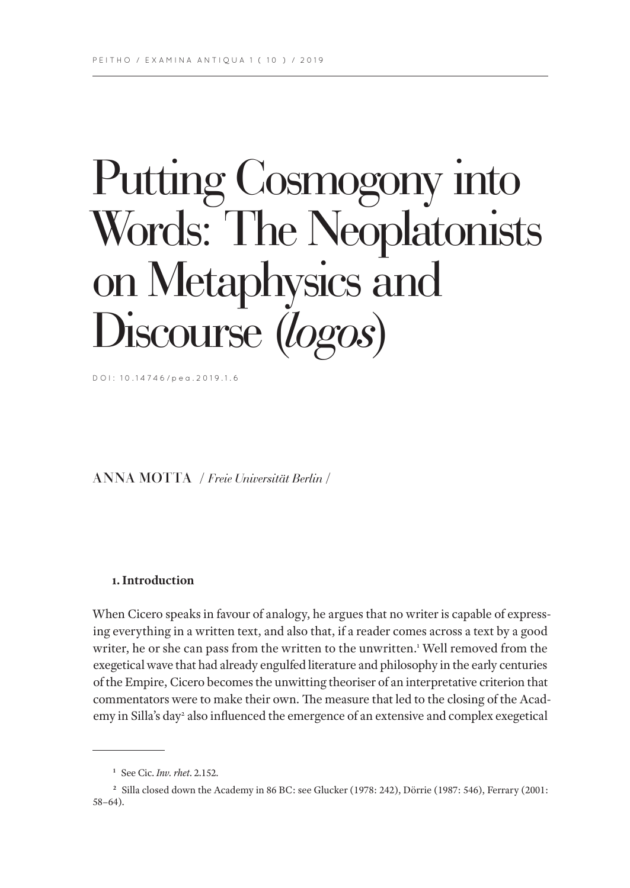# Putting Cosmogony into Words: The Neoplatonists on Metaphysics and Discourse (*logos*)

DOI: 10.14746/pea.2019.1.6

ANNA MOTTA / *Freie Universität Berlin* /

# **1. Introduction**

When Cicero speaks in favour of analogy, he argues that no writer is capable of expressing everything in a written text, and also that, if a reader comes across a text by a good writer, he or she can pass from the written to the unwritten.<sup>1</sup> Well removed from the exegetical wave that had already engulfed literature and philosophy in the early centuries of the Empire, Cicero becomes the unwitting theoriser of an interpretative criterion that commentators were to make their own. The measure that led to the closing of the Academy in Silla's day<sup>2</sup> also influenced the emergence of an extensive and complex exegetical

**<sup>1</sup>** See Cic. *Inv. rhet*. 2.152.

**<sup>2</sup>** Silla closed down the Academy in 86 BC: see Glucker (1978: 242), Dörrie (1987: 546), Ferrary (2001: 58–64).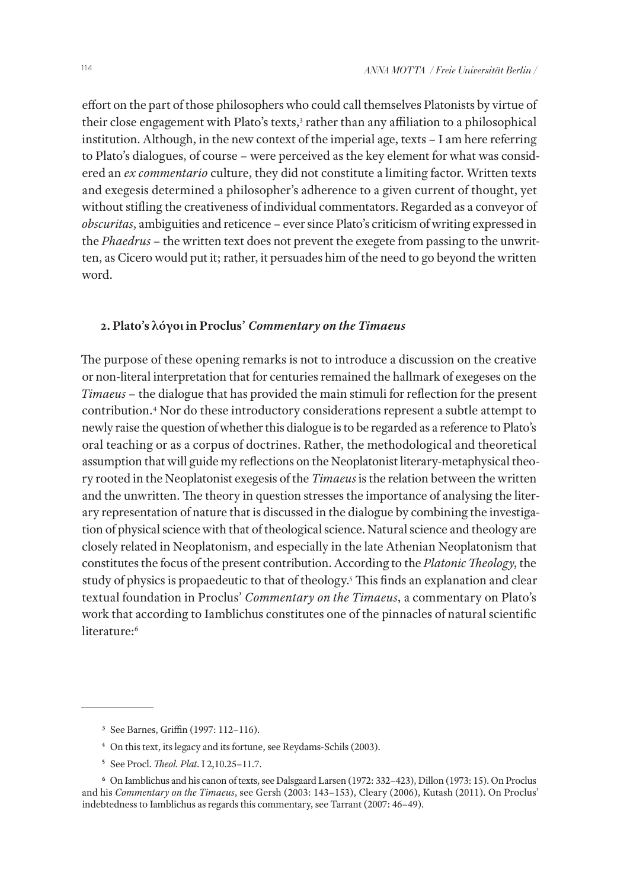effort on the part of those philosophers who could call themselves Platonists by virtue of their close engagement with Plato's texts,<sup>3</sup> rather than any affiliation to a philosophical institution. Although, in the new context of the imperial age, texts – I am here referring to Plato's dialogues, of course – were perceived as the key element for what was considered an *ex commentario* culture, they did not constitute a limiting factor. Written texts and exegesis determined a philosopher's adherence to a given current of thought, yet without stifling the creativeness of individual commentators. Regarded as a conveyor of *obscuritas*, ambiguities and reticence – ever since Plato's criticism of writing expressed in the *Phaedrus* – the written text does not prevent the exegete from passing to the unwritten, as Cicero would put it; rather, it persuades him of the need to go beyond the written word.

### **2. Plato's λόγοι in Proclus'** *Commentary on the Timaeus*

The purpose of these opening remarks is not to introduce a discussion on the creative or non-literal interpretation that for centuries remained the hallmark of exegeses on the *Timaeus* – the dialogue that has provided the main stimuli for reflection for the present contribution.4 Nor do these introductory considerations represent a subtle attempt to newly raise the question of whether this dialogue is to be regarded as a reference to Plato's oral teaching or as a corpus of doctrines. Rather, the methodological and theoretical assumption that will guide my reflections on the Neoplatonist literary-metaphysical theory rooted in the Neoplatonist exegesis of the *Timaeus* is the relation between the written and the unwritten. The theory in question stresses the importance of analysing the literary representation of nature that is discussed in the dialogue by combining the investigation of physical science with that of theological science. Natural science and theology are closely related in Neoplatonism, and especially in the late Athenian Neoplatonism that constitutes the focus of the present contribution. According to the *Platonic Theology*, the study of physics is propaedeutic to that of theology.<sup>5</sup> This finds an explanation and clear textual foundation in Proclus' *Commentary on the Timaeus*, a commentary on Plato's work that according to Iamblichus constitutes one of the pinnacles of natural scientific literature:<sup>6</sup>

**<sup>3</sup>** See Barnes, Griffin (1997: 112–116).

**<sup>4</sup>** On this text, its legacy and its fortune, see Reydams-Schils (2003).

**<sup>5</sup>** See Procl. *Theol. Plat*. I 2,10.25–11.7.

**<sup>6</sup>** On Iamblichus and his canon of texts, see Dalsgaard Larsen (1972: 332–423), Dillon (1973: 15). On Proclus and his *Commentary on the Timaeus*, see Gersh (2003: 143–153), Cleary (2006), Kutash (2011). On Proclus' indebtedness to Iamblichus as regards this commentary, see Tarrant (2007: 46–49).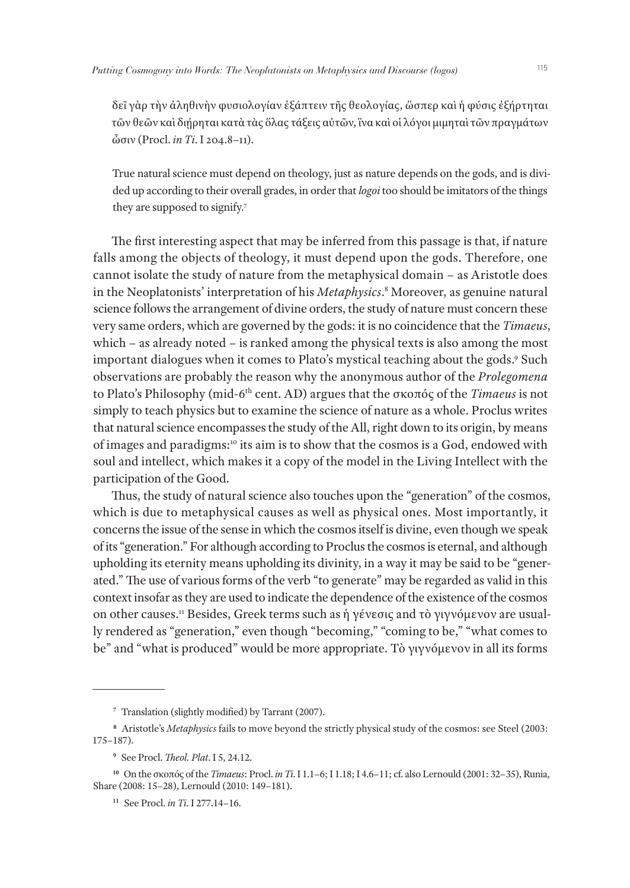δεῖ γὰρ τὴν ἀληθινὴν φυσιολογίαν ἐξάπτειν τῆς θεολογίας, ὥσπερ καὶ ἡ φύσις ἐξήρτηται τῶν θεῶν καὶ διῄρηται κατὰ τὰς ὅλας τάξεις αὐτῶν, ἵνα καὶ οἱ λόγοι μιμηταὶ τῶν πραγμάτων ὦσιν (Procl. *in Ti*. I 204.8–11).

True natural science must depend on theology, just as nature depends on the gods, and is divided up according to their overall grades, in order that *logoi* too should be imitators of the things they are supposed to signify.7

The first interesting aspect that may be inferred from this passage is that, if nature falls among the objects of theology, it must depend upon the gods. Therefore, one cannot isolate the study of nature from the metaphysical domain – as Aristotle does in the Neoplatonists' interpretation of his *Metaphysics*. 8 Moreover, as genuine natural science follows the arrangement of divine orders, the study of nature must concern these very same orders, which are governed by the gods: it is no coincidence that the *Timaeus*, which – as already noted – is ranked among the physical texts is also among the most important dialogues when it comes to Plato's mystical teaching about the gods.9 Such observations are probably the reason why the anonymous author of the *Prolegomena*  to Plato's Philosophy (mid-6th cent. AD) argues that the σκοπός of the *Timaeus* is not simply to teach physics but to examine the science of nature as a whole. Proclus writes that natural science encompasses the study of the All, right down to its origin, by means of images and paradigms:10 its aim is to show that the cosmos is a God, endowed with soul and intellect, which makes it a copy of the model in the Living Intellect with the participation of the Good.

Thus, the study of natural science also touches upon the "generation" of the cosmos, which is due to metaphysical causes as well as physical ones. Most importantly, it concerns the issue of the sense in which the cosmos itself is divine, even though we speak of its "generation." For although according to Proclus the cosmos is eternal, and although upholding its eternity means upholding its divinity, in a way it may be said to be "generated." The use of various forms of the verb "to generate" may be regarded as valid in this context insofar as they are used to indicate the dependence of the existence of the cosmos on other causes.11 Besides, Greek terms such as ἡ γένεσις and τὸ γιγνόμενον are usually rendered as "generation," even though "becoming," "coming to be," "what comes to be" and "what is produced" would be more appropriate. Τὸ γιγνόμενον in all its forms

**<sup>7</sup>** Translation (slightly modified) by Tarrant (2007).

**<sup>8</sup>** Aristotle's *Metaphysics* fails to move beyond the strictly physical study of the cosmos: see Steel (2003: 175–187).

**<sup>9</sup>** See Procl. *Theol. Plat*. I 5, 24.12.

**<sup>10</sup>** On the σκοπός of the *Timaeus*: Procl. *in Ti*. I 1.1–6; I 1.18; I 4.6–11; cf. also Lernould (2001: 32–35), Runia, Share (2008: 15–28), Lernould (2010: 149–181).

**<sup>11</sup>** See Procl. *in Ti*. I 277.14–16.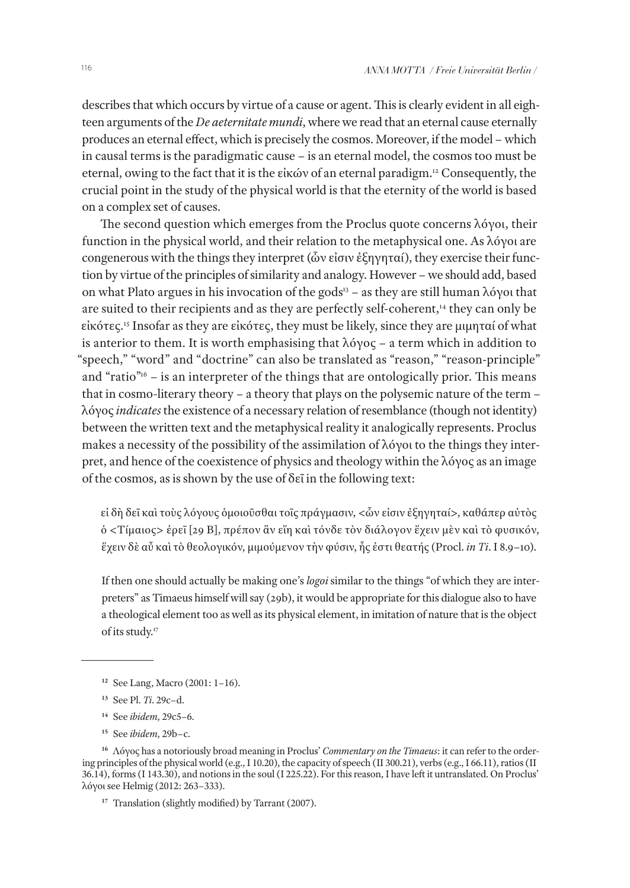describes that which occurs by virtue of a cause or agent. This is clearly evident in all eighteen arguments of the *De aeternitate mundi*, where we read that an eternal cause eternally produces an eternal effect, which is precisely the cosmos. Moreover, if the model – which in causal terms is the paradigmatic cause – is an eternal model, the cosmos too must be eternal, owing to the fact that it is the εἰκών of an eternal paradigm.12 Consequently, the crucial point in the study of the physical world is that the eternity of the world is based on a complex set of causes.

The second question which emerges from the Proclus quote concerns λόγοι, their function in the physical world, and their relation to the metaphysical one. As λόγοι are congenerous with the things they interpret (ὧν εἰσιν ἐξηγηταί), they exercise their function by virtue of the principles of similarity and analogy. However – we should add, based on what Plato argues in his invocation of the gods<sup>13</sup> – as they are still human  $\lambda$ όγοι that are suited to their recipients and as they are perfectly self-coherent,<sup>14</sup> they can only be εἰκότες.15 Insofar as they are εἰκότες, they must be likely, since they are μιμηταί of what is anterior to them. It is worth emphasising that  $\lambda$ όγος – a term which in addition to "speech," "word" and "doctrine" can also be translated as "reason," "reason-principle" and "ratio"<sup>16</sup> – is an interpreter of the things that are ontologically prior. This means that in cosmo-literary theory – a theory that plays on the polysemic nature of the term – λόγος *indicates* the existence of a necessary relation of resemblance (though not identity) between the written text and the metaphysical reality it analogically represents. Proclus makes a necessity of the possibility of the assimilation of λόγοι to the things they interpret, and hence of the coexistence of physics and theology within the λόγος as an image of the cosmos, as is shown by the use of δεῖ in the following text:

εἰ δὴ δεῖ καὶ τοὺς λόγους ὁμοιοῦσθαι τοῖς πράγμασιν, <ὧν εἰσιν ἐξηγηταί>, καθάπερ αὐτὸς ὁ <Τίμαιος> ἐρεῖ [29 B], πρέπον ἂν εἴη καὶ τόνδε τὸν διάλογον ἔχειν μὲν καὶ τὸ φυσικόν, ἔχειν δὲ αὖ καὶ τὸ θεολογικόν, μιμούμενον τὴν φύσιν, ἧς ἐστι θεατής (Procl. *in Ti*. I 8.9–10).

If then one should actually be making one's *logoi* similar to the things "of which they are interpreters" as Timaeus himself will say (29b), it would be appropriate for this dialogue also to have a theological element too as well as its physical element, in imitation of nature that is the object of its study.17

**<sup>14</sup>** See *ibidem*, 29c5–6.

**<sup>12</sup>** See Lang, Macro (2001: 1–16).

**<sup>13</sup>** See Pl. *Ti*. 29c–d.

**<sup>15</sup>** See *ibidem*, 29b–c.

**<sup>16</sup>** Λόγος has a notoriously broad meaning in Proclus' *Commentary on the Timaeus*: it can refer to the ordering principles of the physical world (e.g., I 10.20), the capacity of speech (II 300.21), verbs (e.g., I 66.11), ratios (II 36.14), forms (I 143.30), and notions in the soul (I 225.22). For this reason, I have left it untranslated. On Proclus' λόγοι see Helmig (2012: 263–333).

<sup>&</sup>lt;sup>17</sup> Translation (slightly modified) by Tarrant (2007).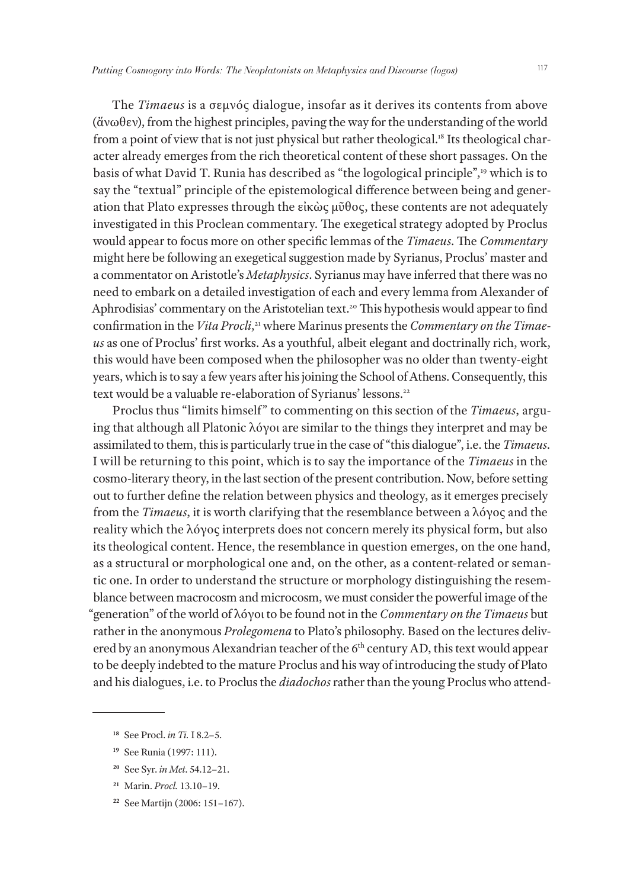The *Timaeus* is a σεμνός dialogue, insofar as it derives its contents from above (ἄνωθεν), from the highest principles, paving the way for the understanding of the world from a point of view that is not just physical but rather theological.<sup>18</sup> Its theological character already emerges from the rich theoretical content of these short passages. On the basis of what David T. Runia has described as "the logological principle",19 which is to say the "textual" principle of the epistemological difference between being and generation that Plato expresses through the εἰκὼς μῦθος, these contents are not adequately investigated in this Proclean commentary. The exegetical strategy adopted by Proclus would appear to focus more on other specific lemmas of the *Timaeus*. The *Commentary* might here be following an exegetical suggestion made by Syrianus, Proclus' master and a commentator on Aristotle's *Metaphysics*. Syrianus may have inferred that there was no need to embark on a detailed investigation of each and every lemma from Alexander of Aphrodisias' commentary on the Aristotelian text.<sup>20</sup> This hypothesis would appear to find confirmation in the *Vita Procli*, 21 where Marinus presents the *Commentary on the Timaeus* as one of Proclus' first works. As a youthful, albeit elegant and doctrinally rich, work, this would have been composed when the philosopher was no older than twenty-eight years, which is to say a few years after his joining the School of Athens. Consequently, this text would be a valuable re-elaboration of Syrianus' lessons.<sup>22</sup>

Proclus thus "limits himself" to commenting on this section of the *Timaeus*, arguing that although all Platonic λόγοι are similar to the things they interpret and may be assimilated to them, this is particularly true in the case of "this dialogue", i.e. the *Timaeus*. I will be returning to this point, which is to say the importance of the *Timaeus* in the cosmo-literary theory, in the last section of the present contribution. Now, before setting out to further define the relation between physics and theology, as it emerges precisely from the *Timaeus*, it is worth clarifying that the resemblance between a λόγος and the reality which the λόγος interprets does not concern merely its physical form, but also its theological content. Hence, the resemblance in question emerges, on the one hand, as a structural or morphological one and, on the other, as a content-related or semantic one. In order to understand the structure or morphology distinguishing the resemblance between macrocosm and microcosm, we must consider the powerful image of the "generation" of the world of λόγοι to be found not in the *Commentary on the Timaeus* but rather in the anonymous *Prolegomena* to Plato's philosophy. Based on the lectures delivered by an anonymous Alexandrian teacher of the 6<sup>th</sup> century AD, this text would appear to be deeply indebted to the mature Proclus and his way of introducing the study of Plato and his dialogues, i.e. to Proclus the *diadochos* rather than the young Proclus who attend-

- **<sup>20</sup>** See Syr. *in Met*. 54.12–21.
- **<sup>21</sup>** Marin. *Procl.* 13.10–19.
- **22** See Martijn (2006: 151–167).

**<sup>18</sup>** See Procl. *in Ti.* I 8.2–5.

**<sup>19</sup>** See Runia (1997: 111).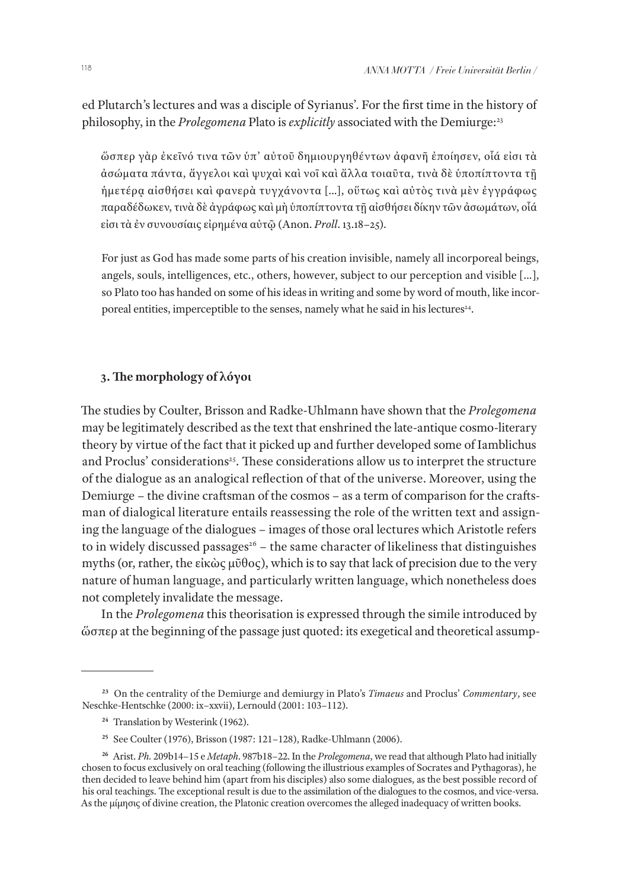ed Plutarch's lectures and was a disciple of Syrianus'. For the first time in the history of philosophy, in the *Prolegomena* Plato is *explicitly* associated with the Demiurge:<sup>23</sup>

ὥσπερ γὰρ ἐκεῖνό τινα τῶν ὑπ' αὐτοῦ δημιουργηθέντων ἀφανῆ ἐποίησεν, οἷά εἰσι τὰ ἀσώματα πάντα, ἄγγελοι καὶ ψυχαὶ καὶ νοῖ καὶ ἄλλα τοιαῦτα, τινὰ δὲ ὑποπίπτοντα τῇ ἡμετέρᾳ αἰσθήσει καὶ φανερὰ τυγχάνοντα […], οὕτως καὶ αὐτὸς τινὰ μὲν ἐγγράφως παραδέδωκεν, τινὰ δὲ ἀγράφως καὶ μὴ ὑποπίπτοντα τῇ αἰσθήσει δίκην τῶν ἀσωμάτων, οἷά εἰσι τὰ ἐν συνουσίαις εἰρημένα αὐτῷ (Anon. *Proll*. 13.18–25).

For just as God has made some parts of his creation invisible, namely all incorporeal beings, angels, souls, intelligences, etc., others, however, subject to our perception and visible […], so Plato too has handed on some of his ideas in writing and some by word of mouth, like incorporeal entities, imperceptible to the senses, namely what he said in his lectures<sup>24</sup>.

# **3. The morphology of λόγοι**

The studies by Coulter, Brisson and Radke-Uhlmann have shown that the *Prolegomena* may be legitimately described as the text that enshrined the late-antique cosmo-literary theory by virtue of the fact that it picked up and further developed some of Iamblichus and Proclus' considerations<sup>25</sup>. These considerations allow us to interpret the structure of the dialogue as an analogical reflection of that of the universe. Moreover, using the Demiurge – the divine craftsman of the cosmos – as a term of comparison for the craftsman of dialogical literature entails reassessing the role of the written text and assigning the language of the dialogues – images of those oral lectures which Aristotle refers to in widely discussed passages<sup>26</sup> – the same character of likeliness that distinguishes myths (or, rather, the εἰκὼς μῦθος), which is to say that lack of precision due to the very nature of human language, and particularly written language, which nonetheless does not completely invalidate the message.

In the *Prolegomena* this theorisation is expressed through the simile introduced by ὥσπερ at the beginning of the passage just quoted: its exegetical and theoretical assump-

**<sup>23</sup>** On the centrality of the Demiurge and demiurgy in Plato's *Timaeus* and Proclus' *Commentary*, see Neschke-Hentschke (2000: ix–xxvii), Lernould (2001: 103–112).

**<sup>24</sup>** Translation by Westerink (1962).

**<sup>25</sup>** See Coulter (1976), Brisson (1987: 121–128), Radke-Uhlmann (2006).

**<sup>26</sup>** Arist. *Ph.* 209b14–15 e *Metaph*. 987b18–22. In the *Prolegomena*, we read that although Plato had initially chosen to focus exclusively on oral teaching (following the illustrious examples of Socrates and Pythagoras), he then decided to leave behind him (apart from his disciples) also some dialogues, as the best possible record of his oral teachings. The exceptional result is due to the assimilation of the dialogues to the cosmos, and vice-versa. As the μίμησις of divine creation, the Platonic creation overcomes the alleged inadequacy of written books.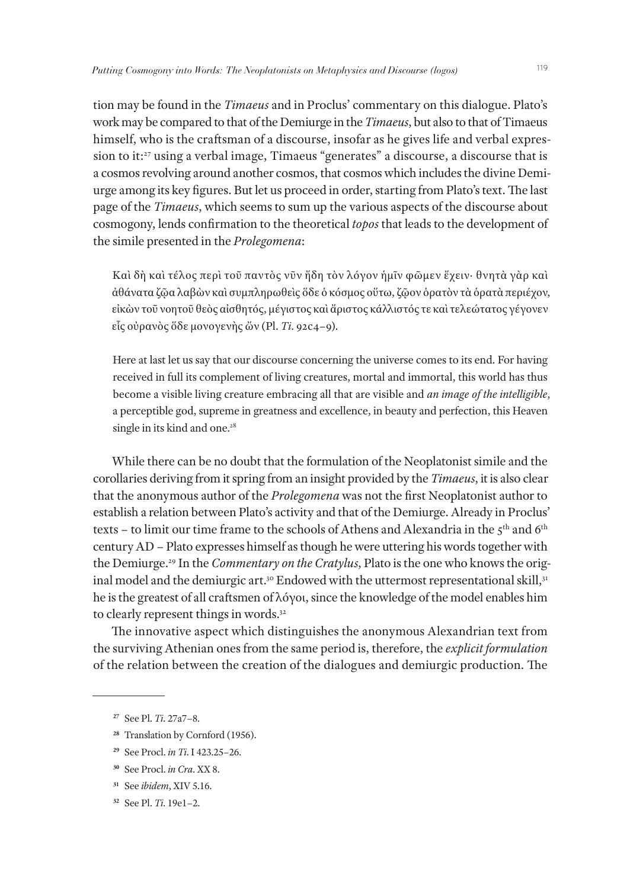tion may be found in the *Timaeus* and in Proclus' commentary on this dialogue. Plato's work may be compared to that of the Demiurge in the *Timaeus*, but also to that of Timaeus himself, who is the craftsman of a discourse, insofar as he gives life and verbal expression to it:27 using a verbal image, Timaeus "generates" a discourse, a discourse that is a cosmos revolving around another cosmos, that cosmos which includes the divine Demiurge among its key figures. But let us proceed in order, starting from Plato's text. The last page of the *Timaeus*, which seems to sum up the various aspects of the discourse about cosmogony, lends confirmation to the theoretical *topos* that leads to the development of the simile presented in the *Prolegomena*:

Καὶ δὴ καὶ τέλος περὶ τοῦ παντὸς νῦν ἤδη τὸν λόγον ἡμῖν φῶμεν ἔχειν· θνητὰ γὰρ καὶ ἀθάνατα ζῷα λαβὼν καὶ συμπληρωθεὶς ὅδε ὁ κόσμος οὕτω, ζῷον ὁρατὸν τὰ ὁρατὰ περιέχον, εἰκὼν τοῦ νοητοῦ θεὸς αἰσθητός, μέγιστος καὶ ἄριστος κάλλιστός τε καὶ τελεώτατος γέγονεν εἷς οὐρανὸς ὅδε μονογενὴς ὤν (Pl. *Ti*. 92c4–9).

Here at last let us say that our discourse concerning the universe comes to its end. For having received in full its complement of living creatures, mortal and immortal, this world has thus become a visible living creature embracing all that are visible and *an image of the intelligible*, a perceptible god, supreme in greatness and excellence, in beauty and perfection, this Heaven single in its kind and one.<sup>28</sup>

While there can be no doubt that the formulation of the Neoplatonist simile and the corollaries deriving from it spring from an insight provided by the *Timaeus*, it is also clear that the anonymous author of the *Prolegomena* was not the first Neoplatonist author to establish a relation between Plato's activity and that of the Demiurge. Already in Proclus' texts – to limit our time frame to the schools of Athens and Alexandria in the  $5^{\text{th}}$  and  $6^{\text{th}}$ century AD – Plato expresses himself as though he were uttering his words together with the Demiurge.29 In the *Commentary on the Cratylus*, Plato is the one who knows the original model and the demiurgic art.<sup>30</sup> Endowed with the uttermost representational skill,<sup>31</sup> he is the greatest of all craftsmen of λόγοι, since the knowledge of the model enables him to clearly represent things in words.<sup>32</sup>

The innovative aspect which distinguishes the anonymous Alexandrian text from the surviving Athenian ones from the same period is, therefore, the *explicit formulation* of the relation between the creation of the dialogues and demiurgic production. The

- **<sup>28</sup>** Translation by Cornford (1956).
- **<sup>29</sup>** See Procl. *in Ti*. I 423.25–26.
- **<sup>30</sup>** See Procl. *in Cra*. XX 8.
- **<sup>31</sup>** See *ibidem*, XIV 5.16.
- **32** See Pl. *Ti*. 19e1–2.

**<sup>27</sup>** See Pl. *Ti*. 27a7–8.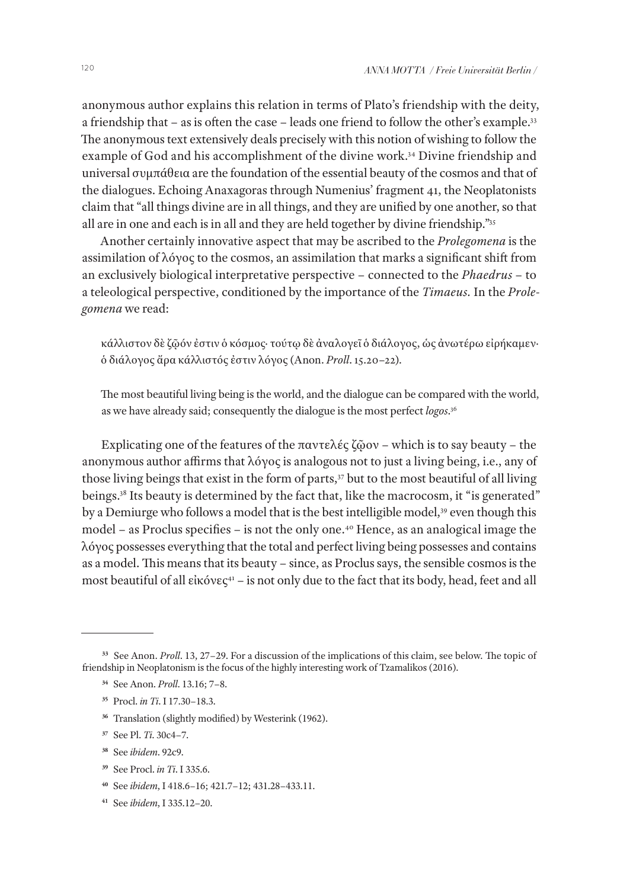anonymous author explains this relation in terms of Plato's friendship with the deity, a friendship that – as is often the case – leads one friend to follow the other's example.33 The anonymous text extensively deals precisely with this notion of wishing to follow the example of God and his accomplishment of the divine work.<sup>34</sup> Divine friendship and universal συμπάθεια are the foundation of the essential beauty of the cosmos and that of the dialogues. Echoing Anaxagoras through Numenius' fragment 41, the Neoplatonists claim that "all things divine are in all things, and they are unified by one another, so that all are in one and each is in all and they are held together by divine friendship."35

Another certainly innovative aspect that may be ascribed to the *Prolegomena* is the assimilation of λόγος to the cosmos, an assimilation that marks a significant shift from an exclusively biological interpretative perspective – connected to the *Phaedrus* – to a teleological perspective, conditioned by the importance of the *Timaeus.* In the *Prolegomena* we read:

κάλλιστον δὲ ζῷόν ἐστιν ὁ κόσμος· τούτῳ δὲ ἀναλογεῖ ὁ διάλογος, ὡς ἀνωτέρω εἰρήκαμεν· ὁ διάλογος ἄρα κάλλιστός ἐστιν λόγος (Anon. *Proll*. 15.20–22).

The most beautiful living being is the world, and the dialogue can be compared with the world, as we have already said; consequently the dialogue is the most perfect *logos*. 36

Explicating one of the features of the παντελές ζῶον – which is to say beauty – the anonymous author affirms that λόγος is analogous not to just a living being, i.e., any of those living beings that exist in the form of parts,<sup>37</sup> but to the most beautiful of all living beings.<sup>38</sup> Its beauty is determined by the fact that, like the macrocosm, it "is generated" by a Demiurge who follows a model that is the best intelligible model,<sup>39</sup> even though this model – as Proclus specifies – is not the only one.<sup>40</sup> Hence, as an analogical image the λόγος possesses everything that the total and perfect living being possesses and contains as a model. This means that its beauty – since, as Proclus says, the sensible cosmos is the most beautiful of all εἰκόνες<sup>41</sup> – is not only due to the fact that its body, head, feet and all

- **<sup>38</sup>** See *ibidem*. 92c9.
- **<sup>39</sup>** See Procl. *in Ti*. I 335.6.
- **<sup>40</sup>** See *ibidem*, I 418.6–16; 421.7–12; 431.28–433.11.
- **41** See *ibidem*, I 335.12–20.

**<sup>33</sup>** See Anon. *Proll*. 13, 27–29. For a discussion of the implications of this claim, see below. The topic of friendship in Neoplatonism is the focus of the highly interesting work of Tzamalikos (2016).

**<sup>34</sup>** See Anon. *Proll*. 13.16; 7–8.

**<sup>35</sup>** Procl. *in Ti*. I 17.30–18.3.

**<sup>36</sup>** Translation (slightly modified) by Westerink (1962).

**<sup>37</sup>** See Pl. *Ti*. 30c4–7.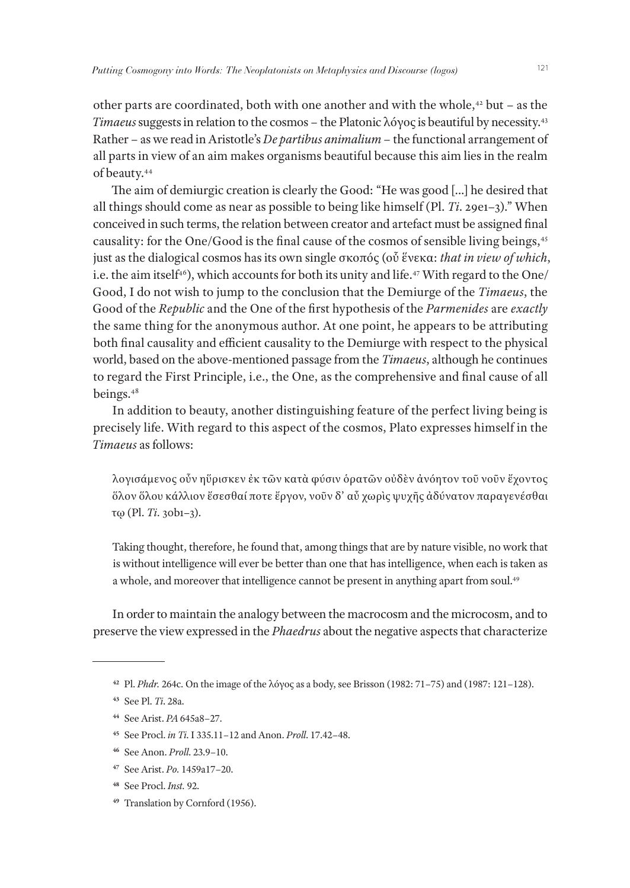other parts are coordinated, both with one another and with the whole, $42$  but – as the *Timaeus* suggests in relation to the cosmos – the Platonic λόγος is beautiful by necessity.43 Rather – as we read in Aristotle's *De partibus animalium* – the functional arrangement of all parts in view of an aim makes organisms beautiful because this aim lies in the realm of beauty.44

The aim of demiurgic creation is clearly the Good: "He was good […] he desired that all things should come as near as possible to being like himself (Pl. *Ti*. 29e1–3)." When conceived in such terms, the relation between creator and artefact must be assigned final causality: for the One/Good is the final cause of the cosmos of sensible living beings,45 just as the dialogical cosmos has its own single σκοπός (οὗ ἕνεκα: *that in view of which*, i.e. the aim itself<sup>46</sup>), which accounts for both its unity and life.<sup>47</sup> With regard to the One/ Good, I do not wish to jump to the conclusion that the Demiurge of the *Timaeus*, the Good of the *Republic* and the One of the first hypothesis of the *Parmenides* are *exactly* the same thing for the anonymous author. At one point, he appears to be attributing both final causality and efficient causality to the Demiurge with respect to the physical world, based on the above-mentioned passage from the *Timaeus*, although he continues to regard the First Principle, i.e., the One, as the comprehensive and final cause of all beings.48

In addition to beauty, another distinguishing feature of the perfect living being is precisely life. With regard to this aspect of the cosmos, Plato expresses himself in the *Timaeus* as follows:

λογισάμενος οὖν ηὕρισκεν ἐκ τῶν κατὰ φύσιν ὁρατῶν οὐδὲν ἀνόητον τοῦ νοῦν ἔχοντος ὅλον ὅλου κάλλιον ἔσεσθαί ποτε ἔργον, νοῦν δ' αὖ χωρὶς ψυχῆς ἀδύνατον παραγενέσθαι τῳ (Pl. *Ti.* 30b1–3).

Taking thought, therefore, he found that, among things that are by nature visible, no work that is without intelligence will ever be better than one that has intelligence, when each is taken as a whole, and moreover that intelligence cannot be present in anything apart from soul.49

In order to maintain the analogy between the macrocosm and the microcosm, and to preserve the view expressed in the *Phaedrus* about the negative aspects that characterize

**49** Translation by Cornford (1956).

**<sup>42</sup>** Pl. *Phdr.* 264c. On the image of the λόγος as a body, see Brisson (1982: 71–75) and (1987: 121–128).

**<sup>43</sup>** See Pl. *Ti*. 28a.

**<sup>44</sup>** See Arist. *PA* 645a8–27.

**<sup>45</sup>** See Procl. *in Ti*. I 335.11–12 and Anon. *Proll*. 17.42–48.

**<sup>46</sup>** See Anon. *Proll*. 23.9–10.

**<sup>47</sup>** See Arist. *Po.* 1459a17–20.

**<sup>48</sup>** See Procl. *Inst.* 92.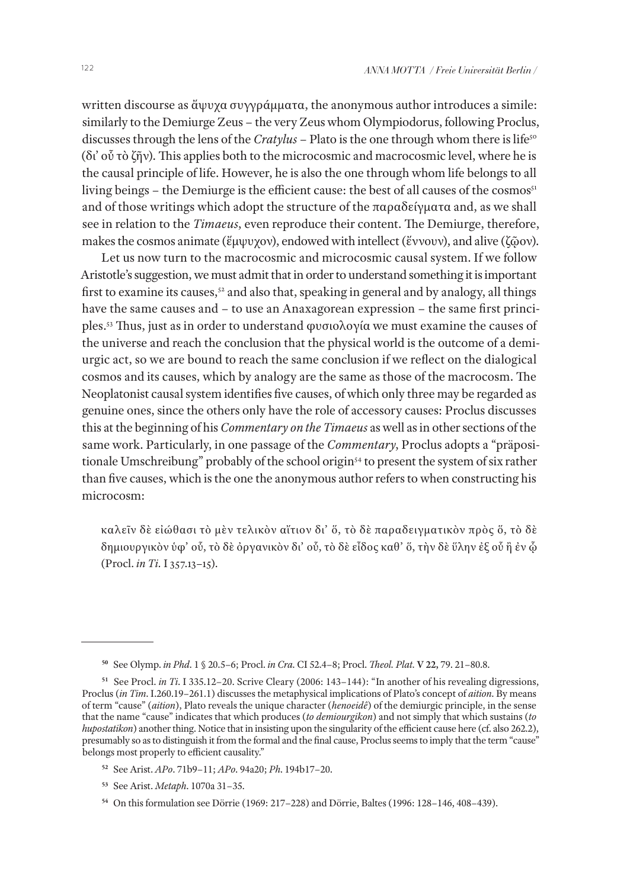written discourse as ἄψυχα συγγράμματα, the anonymous author introduces a simile: similarly to the Demiurge Zeus – the very Zeus whom Olympiodorus, following Proclus, discusses through the lens of the *Cratylus* - Plato is the one through whom there is life<sup>50</sup> (δι' οὗ τὸ ζῆν). This applies both to the microcosmic and macrocosmic level, where he is the causal principle of life. However, he is also the one through whom life belongs to all living beings – the Demiurge is the efficient cause: the best of all causes of the cosmos $s<sub>1</sub>$ and of those writings which adopt the structure of the παραδείγματα and, as we shall see in relation to the *Timaeus*, even reproduce their content. The Demiurge, therefore, makes the cosmos animate (ἔμψυχον), endowed with intellect (ἔννουν), and alive (ζῶον).

Let us now turn to the macrocosmic and microcosmic causal system. If we follow Aristotle's suggestion, we must admit that in order to understand something it is important first to examine its causes,<sup>52</sup> and also that, speaking in general and by analogy, all things have the same causes and – to use an Anaxagorean expression – the same first principles.53 Thus, just as in order to understand φυσιολογία we must examine the causes of the universe and reach the conclusion that the physical world is the outcome of a demiurgic act, so we are bound to reach the same conclusion if we reflect on the dialogical cosmos and its causes, which by analogy are the same as those of the macrocosm. The Neoplatonist causal system identifies five causes, of which only three may be regarded as genuine ones, since the others only have the role of accessory causes: Proclus discusses this at the beginning of his *Commentary on the Timaeus* as well as in other sections of the same work. Particularly, in one passage of the *Commentary*, Proclus adopts a "präpositionale Umschreibung" probably of the school origin<sup>54</sup> to present the system of six rather than five causes, which is the one the anonymous author refers to when constructing his microcosm:

καλεῖν δὲ εἰώθασι τὸ μὲν τελικὸν αἴτιον δι' ὅ, τὸ δὲ παραδειγματικὸν πρὸς ὅ, τὸ δὲ δημιουργικὸν ὑφ' οὗ, τὸ δὲ ὀργανικὸν δι' οὗ, τὸ δὲ εἶδος καθ' ὅ, τὴν δὲ ὕλην ἐξ οὗ ἢ ἐν ᾧ (Procl. *in Ti.* I 357.13–15).

- **<sup>52</sup>** See Arist. *APo*. 71b9–11; *APo*. 94a20; *Ph*. 194b17–20.
- **<sup>53</sup>** See Arist. *Metaph*. 1070a 31–35.

**<sup>50</sup>** See Olymp. *in Phd*. 1 § 20.5–6; Procl. *in Cra*. CI 52.4–8; Procl. *Theol. Plat.* **V 22,** 79. 21–80.8.

**<sup>51</sup>** See Procl. *in Ti*. I 335.12–20. Scrive Cleary (2006: 143–144): "In another of his revealing digressions, Proclus (*in Tim*. I.260.19–261.1) discusses the metaphysical implications of Plato's concept of *aition*. By means of term "cause" (*aition*), Plato reveals the unique character (*henoeidê*) of the demiurgic principle, in the sense that the name "cause" indicates that which produces (*to demiourgikon*) and not simply that which sustains (*to hupostatikon*) another thing. Notice that in insisting upon the singularity of the efficient cause here (cf. also 262.2), presumably so as to distinguish it from the formal and the final cause, Proclus seems to imply that the term "cause" belongs most properly to efficient causality."

**<sup>54</sup>** On this formulation see Dörrie (1969: 217–228) and Dörrie, Baltes (1996: 128–146, 408–439).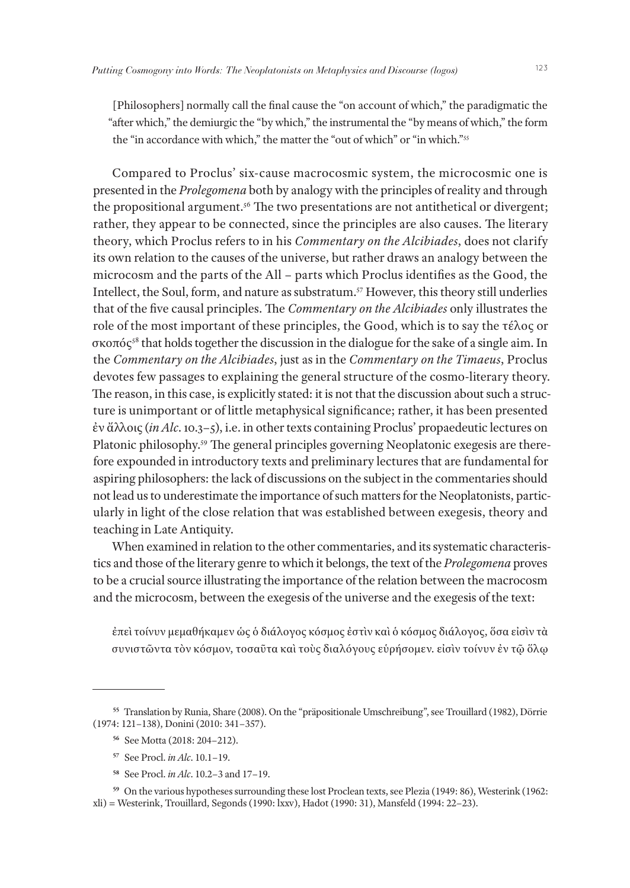[Philosophers] normally call the final cause the "on account of which," the paradigmatic the "after which," the demiurgic the "by which," the instrumental the "by means of which," the form the "in accordance with which," the matter the "out of which" or "in which."<sup>55</sup>

Compared to Proclus' six-cause macrocosmic system, the microcosmic one is presented in the *Prolegomena* both by analogy with the principles of reality and through the propositional argument.<sup>56</sup> The two presentations are not antithetical or divergent; rather, they appear to be connected, since the principles are also causes. The literary theory, which Proclus refers to in his *Commentary on the Alcibiades*, does not clarify its own relation to the causes of the universe, but rather draws an analogy between the microcosm and the parts of the All – parts which Proclus identifies as the Good, the Intellect, the Soul, form, and nature as substratum.57 However, this theory still underlies that of the five causal principles. The *Commentary on the Alcibiades* only illustrates the role of the most important of these principles, the Good, which is to say the τέλος or σκοπός58 that holds together the discussion in the dialogue for the sake of a single aim. In the *Commentary on the Alcibiades*, just as in the *Commentary on the Timaeus*, Proclus devotes few passages to explaining the general structure of the cosmo-literary theory. The reason, in this case, is explicitly stated: it is not that the discussion about such a structure is unimportant or of little metaphysical significance; rather, it has been presented ἐν ἄλλοις (*in Alc*. 10.3–5), i.e. in other texts containing Proclus' propaedeutic lectures on Platonic philosophy.59 The general principles governing Neoplatonic exegesis are therefore expounded in introductory texts and preliminary lectures that are fundamental for aspiring philosophers: the lack of discussions on the subject in the commentaries should not lead us to underestimate the importance of such matters for the Neoplatonists, particularly in light of the close relation that was established between exegesis, theory and teaching in Late Antiquity.

When examined in relation to the other commentaries, and its systematic characteristics and those of the literary genre to which it belongs, the text of the *Prolegomena* proves to be a crucial source illustrating the importance of the relation between the macrocosm and the microcosm, between the exegesis of the universe and the exegesis of the text:

ἐπεὶ τοίνυν μεμαθήκαμεν ὡς ὁ διάλογος κόσμος ἐστὶν καὶ ὁ κόσμος διάλογος, ὅσα εἰσὶν τὰ συνιστῶντα τὸν κόσμον, τοσαῦτα καὶ τοὺς διαλόγους εὑρήσομεν. εἰσὶν τοίνυν ἐν τῷ ὅλῳ

- **<sup>57</sup>** See Procl. *in Alc*. 10.1–19.
- **<sup>58</sup>** See Procl. *in Alc*. 10.2–3 and 17–19.

**<sup>55</sup>** Translation by Runia, Share (2008). On the "präpositionale Umschreibung", see Trouillard (1982), Dörrie (1974: 121–138), Donini (2010: 341–357).

**<sup>56</sup>** See Motta (2018: 204–212).

**<sup>59</sup>** On the various hypotheses surrounding these lost Proclean texts, see Plezia (1949: 86), Westerink (1962: xli) = Westerink, Trouillard, Segonds (1990: lxxv), Hadot (1990: 31), Mansfeld (1994: 22–23).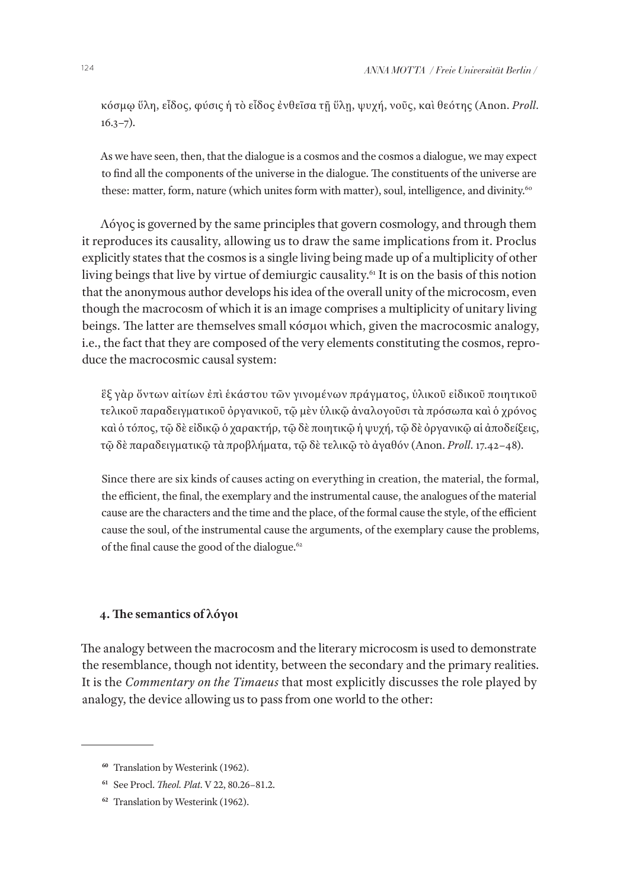κόσμῳ ὕλη, εἶδος, φύσις ἡ τὸ εἶδος ἐνθεῖσα τῇ ὕλῃ, ψυχή, νοῦς, καὶ θεότης (Anon. *Proll.*  $16.3 - 7$ ).

As we have seen, then, that the dialogue is a cosmos and the cosmos a dialogue, we may expect to find all the components of the universe in the dialogue. The constituents of the universe are these: matter, form, nature (which unites form with matter), soul, intelligence, and divinity.<sup>60</sup>

Λόγος is governed by the same principles that govern cosmology, and through them it reproduces its causality, allowing us to draw the same implications from it. Proclus explicitly states that the cosmos is a single living being made up of a multiplicity of other living beings that live by virtue of demiurgic causality.<sup>61</sup> It is on the basis of this notion that the anonymous author develops his idea of the overall unity of the microcosm, even though the macrocosm of which it is an image comprises a multiplicity of unitary living beings. The latter are themselves small κόσμοι which, given the macrocosmic analogy, i.e., the fact that they are composed of the very elements constituting the cosmos, reproduce the macrocosmic causal system:

ἓξ γὰρ ὄντων αἰτίων ἐπὶ ἑκάστου τῶν γινομένων πράγματος, ὑλικοῦ εἰδικοῦ ποιητικοῦ τελικοῦ παραδειγματικοῦ ὀργανικοῦ, τῷ μὲν ὑλικῷ ἀναλογοῦσι τὰ πρόσωπα καὶ ὁ χρόνος καὶ ὁ τόπος, τῷ δὲ εἰδικῷ ὁ χαρακτήρ, τῷ δὲ ποιητικῷ ἡ ψυχή, τῷ δὲ ὀργανικῷ αἱ ἀποδείξεις, τῷ δὲ παραδειγματικῷ τὰ προβλήματα, τῷ δὲ τελικῷ τὸ ἀγαθόν (Anon. *Proll.* 17.42–48).

Since there are six kinds of causes acting on everything in creation, the material, the formal, the efficient, the final, the exemplary and the instrumental cause, the analogues of the material cause are the characters and the time and the place, of the formal cause the style, of the efficient cause the soul, of the instrumental cause the arguments, of the exemplary cause the problems, of the final cause the good of the dialogue.<sup>62</sup>

# **4. The semantics of λόγοι**

The analogy between the macrocosm and the literary microcosm is used to demonstrate the resemblance, though not identity, between the secondary and the primary realities. It is the *Commentary on the Timaeus* that most explicitly discusses the role played by analogy, the device allowing us to pass from one world to the other:

**<sup>60</sup>** Translation by Westerink (1962).

**<sup>61</sup>** See Procl. *Theol. Plat*. V 22, 80.26–81.2.

**<sup>62</sup>** Translation by Westerink (1962).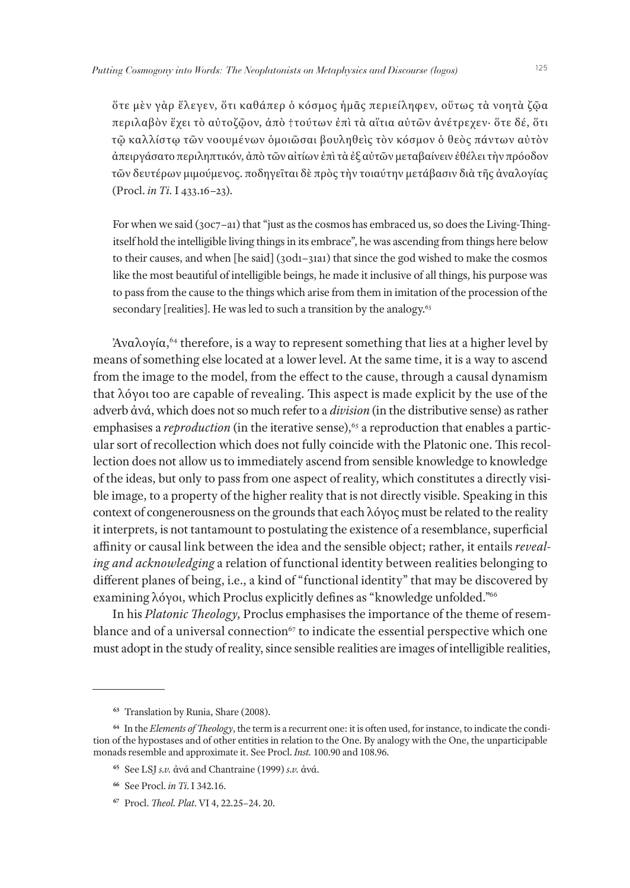ὅτε μὲν γὰρ ἔλεγεν, ὅτι καθάπερ ὁ κόσμος ἡμᾶς περιείληφεν, οὕτως τὰ νοητὰ ζῷα περιλαβὸν ἔχει τὸ αὐτοζῷον, ἀπὸ †τούτων ἐπὶ τὰ αἴτια αὐτῶν ἀνέτρεχεν· ὅτε δέ, ὅτι τῷ καλλίστῳ τῶν νοουμένων ὁμοιῶσαι βουληθεὶς τὸν κόσμον ὁ θεὸς πάντων αὐτὸν ἀπειργάσατο περιληπτικόν, ἀπὸ τῶν αἰτίων ἐπὶ τὰ ἐξ αὐτῶν μεταβαίνειν ἐθέλει τὴν πρόοδον τῶν δευτέρων μιμούμενος. ποδηγεῖται δὲ πρὸς τὴν τοιαύτην μετάβασιν διὰ τῆς ἀναλογίας (Procl. *in Ti.* I 433.16–23).

For when we said (30c7–a1) that "just as the cosmos has embraced us, so does the Living-Thingitself hold the intelligible living things in its embrace", he was ascending from things here below to their causes, and when [he said] (30d1–31a1) that since the god wished to make the cosmos like the most beautiful of intelligible beings, he made it inclusive of all things, his purpose was to pass from the cause to the things which arise from them in imitation of the procession of the secondary [realities]. He was led to such a transition by the analogy.<sup>63</sup>

 $\lambda$ ναλογία,<sup>64</sup> therefore, is a way to represent something that lies at a higher level by means of something else located at a lower level. At the same time, it is a way to ascend from the image to the model, from the effect to the cause, through a causal dynamism that λόγοι too are capable of revealing. This aspect is made explicit by the use of the adverb ἀνά, which does not so much refer to a *division* (in the distributive sense) as rather emphasises a *reproduction* (in the iterative sense),<sup>65</sup> a reproduction that enables a particular sort of recollection which does not fully coincide with the Platonic one. This recollection does not allow us to immediately ascend from sensible knowledge to knowledge of the ideas, but only to pass from one aspect of reality, which constitutes a directly visible image, to a property of the higher reality that is not directly visible. Speaking in this context of congenerousness on the grounds that each λόγος must be related to the reality it interprets, is not tantamount to postulating the existence of a resemblance, superficial affinity or causal link between the idea and the sensible object; rather, it entails *revealing and acknowledging* a relation of functional identity between realities belonging to different planes of being, i.e., a kind of "functional identity" that may be discovered by examining λόγοι, which Proclus explicitly defines as "knowledge unfolded."66

In his *Platonic Theology*, Proclus emphasises the importance of the theme of resemblance and of a universal connection<sup>67</sup> to indicate the essential perspective which one must adopt in the study of reality, since sensible realities are images of intelligible realities,

**<sup>63</sup>** Translation by Runia, Share (2008).

**<sup>64</sup>** In the *Elements of Theology*, the term is a recurrent one: it is often used, for instance, to indicate the condition of the hypostases and of other entities in relation to the One. By analogy with the One, the unparticipable monads resemble and approximate it. See Procl. *Inst.* 100.90 and 108.96.

**<sup>65</sup>** See LSJ *s.v.* ἀνά and Chantraine (1999) *s.v.* ἀνά.

**<sup>66</sup>** See Procl. *in Ti*. I 342.16.

**<sup>67</sup>** Procl. *Theol. Plat*. VI 4, 22.25–24. 20.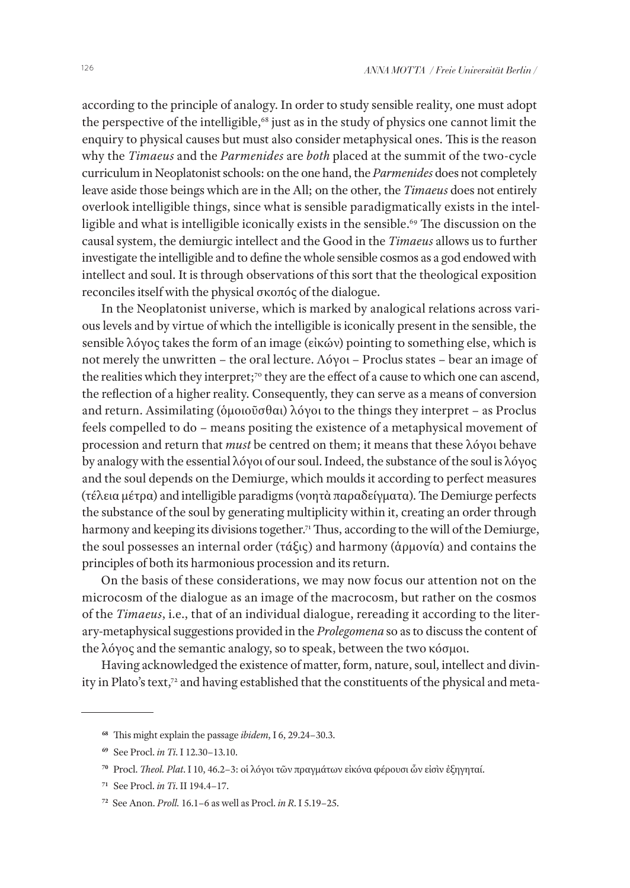according to the principle of analogy. In order to study sensible reality, one must adopt the perspective of the intelligible,<sup>68</sup> just as in the study of physics one cannot limit the enquiry to physical causes but must also consider metaphysical ones. This is the reason why the *Timaeus* and the *Parmenides* are *both* placed at the summit of the two-cycle curriculum in Neoplatonist schools: on the one hand, the *Parmenides* does not completely leave aside those beings which are in the All; on the other, the *Timaeus* does not entirely overlook intelligible things, since what is sensible paradigmatically exists in the intelligible and what is intelligible iconically exists in the sensible.<sup>69</sup> The discussion on the causal system, the demiurgic intellect and the Good in the *Timaeus* allows us to further investigate the intelligible and to define the whole sensible cosmos as a god endowed with intellect and soul. It is through observations of this sort that the theological exposition reconciles itself with the physical σκοπός of the dialogue.

In the Neoplatonist universe, which is marked by analogical relations across various levels and by virtue of which the intelligible is iconically present in the sensible, the sensible λόγος takes the form of an image (εἰκών) pointing to something else, which is not merely the unwritten – the oral lecture. Λόγοι – Proclus states – bear an image of the realities which they interpret;<sup>70</sup> they are the effect of a cause to which one can ascend, the reflection of a higher reality. Consequently, they can serve as a means of conversion and return. Assimilating (ὁμοιοῦσθαι) λόγοι to the things they interpret – as Proclus feels compelled to do – means positing the existence of a metaphysical movement of procession and return that *must* be centred on them; it means that these λόγοι behave by analogy with the essential λόγοι of our soul. Indeed, the substance of the soul is λόγος and the soul depends on the Demiurge, which moulds it according to perfect measures (τέλεια μέτρα) and intelligible paradigms (νοητὰ παραδείγματα). The Demiurge perfects the substance of the soul by generating multiplicity within it, creating an order through harmony and keeping its divisions together.<sup>71</sup> Thus, according to the will of the Demiurge, the soul possesses an internal order (τάξις) and harmony (ἁρμονία) and contains the principles of both its harmonious procession and its return.

On the basis of these considerations, we may now focus our attention not on the microcosm of the dialogue as an image of the macrocosm, but rather on the cosmos of the *Timaeus*, i.e., that of an individual dialogue, rereading it according to the literary-metaphysical suggestions provided in the *Prolegomena* so as to discuss the content of the λόγος and the semantic analogy, so to speak, between the two κόσμοι.

Having acknowledged the existence of matter, form, nature, soul, intellect and divinity in Plato's text,<sup>72</sup> and having established that the constituents of the physical and meta-

**<sup>68</sup>** This might explain the passage *ibidem*, I 6, 29.24–30.3.

**<sup>69</sup>** See Procl. *in Ti*. I 12.30–13.10.

**<sup>70</sup>** Procl. *Theol. Plat*. I 10, 46.2–3: oἱ λόγοι τῶν πραγμάτων εἰκόνα φέρουσι ὧν εἰσὶν ἐξηγηταί.

**<sup>71</sup>** See Procl. *in Ti*. II 194.4–17.

**<sup>72</sup>** See Anon. *Proll.* 16.1–6 as well as Procl. *in R*. I 5.19–25.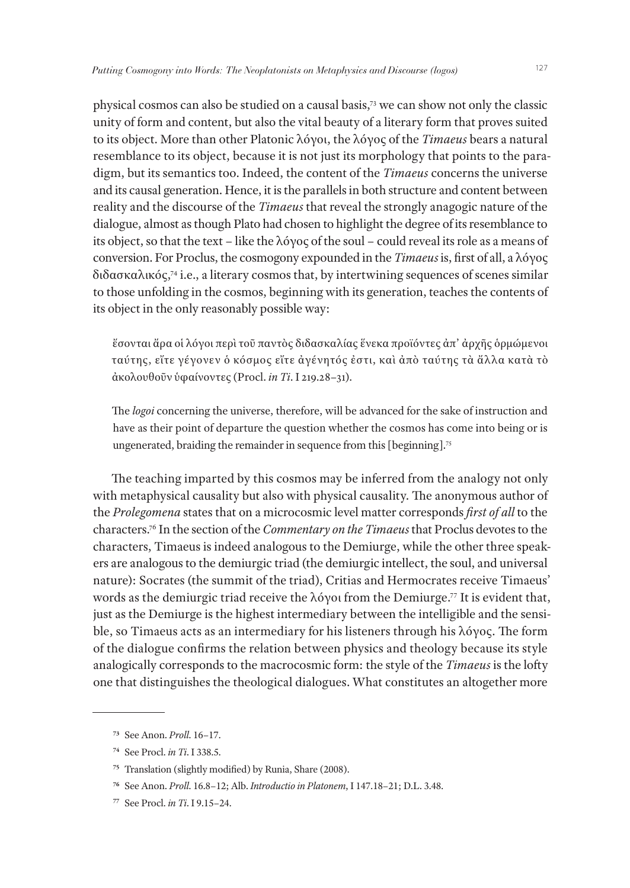physical cosmos can also be studied on a causal basis,73 we can show not only the classic unity of form and content, but also the vital beauty of a literary form that proves suited to its object. More than other Platonic λόγοι, the λόγος of the *Timaeus* bears a natural resemblance to its object, because it is not just its morphology that points to the paradigm, but its semantics too. Indeed, the content of the *Timaeus* concerns the universe and its causal generation. Hence, it is the parallels in both structure and content between reality and the discourse of the *Timaeus* that reveal the strongly anagogic nature of the dialogue, almost as though Plato had chosen to highlight the degree of its resemblance to its object, so that the text – like the λόγος of the soul – could reveal its role as a means of conversion. For Proclus, the cosmogony expounded in the *Timaeus* is, first of all, a λόγος διδασκαλικός,74 i.e., a literary cosmos that, by intertwining sequences of scenes similar to those unfolding in the cosmos, beginning with its generation, teaches the contents of its object in the only reasonably possible way:

ἔσονται ἄρα οἱ λόγοι περὶ τοῦ παντὸς διδασκαλίας ἕνεκα προϊόντες ἀπ' ἀρχῆς ὁρμώμενοι ταύτης, εἴτε γέγονεν ὁ κόσμος εἴτε ἀγένητός ἐστι, καὶ ἀπὸ ταύτης τὰ ἄλλα κατὰ τὸ ἀκολουθοῦν ὑφαίνοντες (Procl. *in Ti*. I 219.28–31).

The *logoi* concerning the universe, therefore, will be advanced for the sake of instruction and have as their point of departure the question whether the cosmos has come into being or is ungenerated, braiding the remainder in sequence from this [beginning].<sup>75</sup>

The teaching imparted by this cosmos may be inferred from the analogy not only with metaphysical causality but also with physical causality. The anonymous author of the *Prolegomena* states that on a microcosmic level matter corresponds *first of all* to the characters.76 In the section of the *Commentary on the Timaeus* that Proclus devotes to the characters, Timaeus is indeed analogous to the Demiurge, while the other three speakers are analogous to the demiurgic triad (the demiurgic intellect, the soul, and universal nature): Socrates (the summit of the triad), Critias and Hermocrates receive Timaeus' words as the demiurgic triad receive the λόγοι from the Demiurge.77 It is evident that, just as the Demiurge is the highest intermediary between the intelligible and the sensible, so Timaeus acts as an intermediary for his listeners through his λόγος. The form of the dialogue confirms the relation between physics and theology because its style analogically corresponds to the macrocosmic form: the style of the *Timaeus* is the lofty one that distinguishes the theological dialogues. What constitutes an altogether more

**<sup>73</sup>** See Anon. *Proll*. 16–17.

**<sup>74</sup>** See Procl. *in Ti*. I 338.5.

**<sup>75</sup>** Translation (slightly modified) by Runia, Share (2008).

**<sup>76</sup>** See Anon. *Proll*. 16.8–12; Alb. *Introductio in Platonem*, I 147.18–21; D.L. 3.48.

**<sup>77</sup>** See Procl. *in Ti*. I 9.15–24.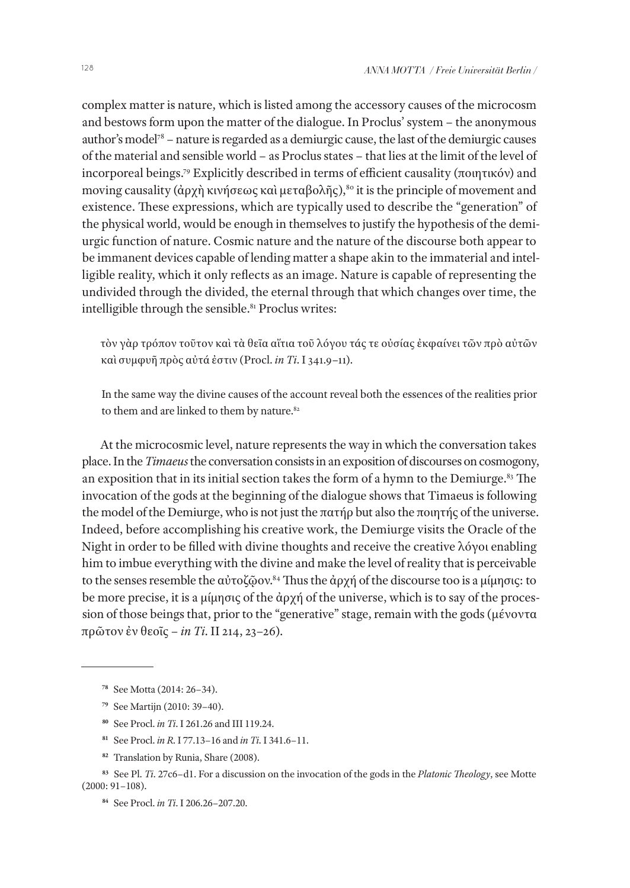complex matter is nature, which is listed among the accessory causes of the microcosm and bestows form upon the matter of the dialogue. In Proclus' system – the anonymous author's model<sup>78</sup> – nature is regarded as a demiurgic cause, the last of the demiurgic causes of the material and sensible world – as Proclus states – that lies at the limit of the level of incorporeal beings.79 Explicitly described in terms of efficient causality (ποιητικόν) and moving causality (άρχὴ κινήσεως καὶ μεταβολῆς),<sup>80</sup> it is the principle of movement and existence. These expressions, which are typically used to describe the "generation" of the physical world, would be enough in themselves to justify the hypothesis of the demiurgic function of nature. Cosmic nature and the nature of the discourse both appear to be immanent devices capable of lending matter a shape akin to the immaterial and intelligible reality, which it only reflects as an image. Nature is capable of representing the undivided through the divided, the eternal through that which changes over time, the intelligible through the sensible.<sup>81</sup> Proclus writes:

τὸν γὰρ τρόπον τοῦτον καὶ τὰ θεῖα αἴτια τοῦ λόγου τάς τε οὐσίας ἐκφαίνει τῶν πρὸ αὐτῶν καὶ συμφυῆ πρὸς αὐτά ἐστιν (Procl. *in Ti*. I 341.9–11).

In the same way the divine causes of the account reveal both the essences of the realities prior to them and are linked to them by nature.<sup>82</sup>

At the microcosmic level, nature represents the way in which the conversation takes place. In the *Timaeus* the conversation consists in an exposition of discourses on cosmogony, an exposition that in its initial section takes the form of a hymn to the Demiurge.<sup>83</sup> The invocation of the gods at the beginning of the dialogue shows that Timaeus is following the model of the Demiurge, who is not just the πατήρ but also the ποιητής of the universe. Indeed, before accomplishing his creative work, the Demiurge visits the Oracle of the Night in order to be filled with divine thoughts and receive the creative λόγοι enabling him to imbue everything with the divine and make the level of reality that is perceivable to the senses resemble the αὐτοζῷον.<sup>84</sup> Thus the ἀρχή of the discourse too is a μίμησις: to be more precise, it is a μίμησις of the ἀρχή of the universe, which is to say of the procession of those beings that, prior to the "generative" stage, remain with the gods (μένοντα πρῶτον ἐν θεοῖς – *in Ti*. II 214, 23–26).

- **<sup>80</sup>** See Procl. *in Ti*. I 261.26 and III 119.24.
- **<sup>81</sup>** See Procl. *in R*. I 77.13–16 and *in Ti*. I 341.6–11.
- **<sup>82</sup>** Translation by Runia, Share (2008).

**<sup>78</sup>** See Motta (2014: 26–34).

**<sup>79</sup>** See Martijn (2010: 39–40).

**<sup>83</sup>** See Pl. *Ti*. 27c6–d1. For a discussion on the invocation of the gods in the *Platonic Theology*, see Motte (2000: 91–108).

**<sup>84</sup>** See Procl. *in Ti*. I 206.26–207.20.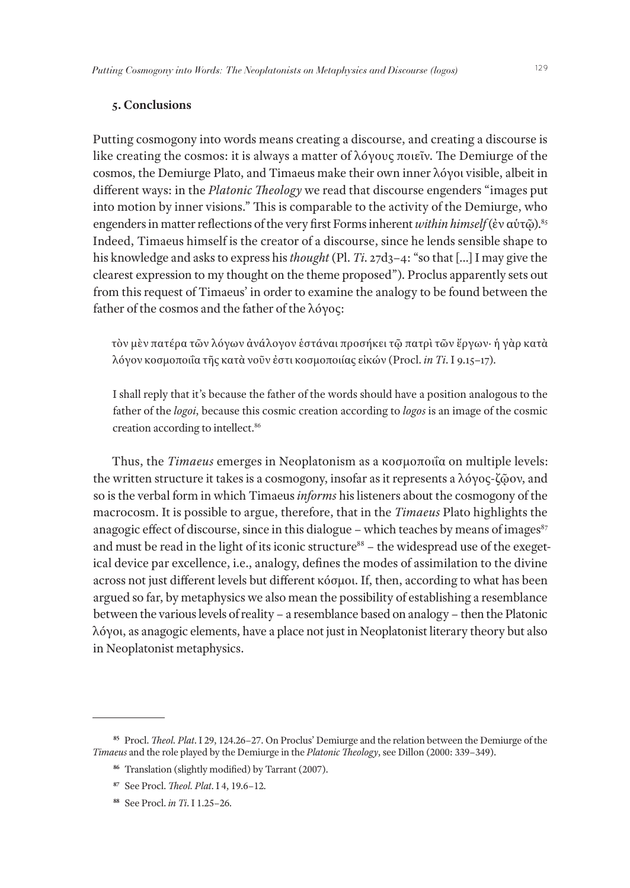### **5. Conclusions**

Putting cosmogony into words means creating a discourse, and creating a discourse is like creating the cosmos: it is always a matter of λόγους ποιεῖν. The Demiurge of the cosmos, the Demiurge Plato, and Timaeus make their own inner λόγοι visible, albeit in different ways: in the *Platonic Theology* we read that discourse engenders "images put into motion by inner visions." This is comparable to the activity of the Demiurge, who engenders in matter reflections of the very first Forms inherent *within himself* (ἐν αὑτῷ).85 Indeed, Timaeus himself is the creator of a discourse, since he lends sensible shape to his knowledge and asks to express his *thought* (Pl. *Ti*. 27d3–4: "so that […] I may give the clearest expression to my thought on the theme proposed"). Proclus apparently sets out from this request of Timaeus' in order to examine the analogy to be found between the father of the cosmos and the father of the λόγος:

τὸν μὲν πατέρα τῶν λόγων ἀνάλογον ἑστάναι προσήκει τῷ πατρὶ τῶν ἔργων· ἡ γὰρ κατὰ λόγον κοσμοποιΐα τῆς κατὰ νοῦν ἐστι κοσμοποιίας εἰκών (Procl. *in Ti*. I 9.15–17).

I shall reply that it's because the father of the words should have a position analogous to the father of the *logoi*, because this cosmic creation according to *logos* is an image of the cosmic creation according to intellect.86

Thus, the *Timaeus* emerges in Neoplatonism as a κοσμοποιΐα on multiple levels: the written structure it takes is a cosmogony, insofar as it represents a λόγος-ζῷον, and so is the verbal form in which Timaeus *informs* his listeners about the cosmogony of the macrocosm. It is possible to argue, therefore, that in the *Timaeus* Plato highlights the anagogic effect of discourse, since in this dialogue – which teaches by means of images<sup>87</sup> and must be read in the light of its iconic structure<sup>88</sup> – the widespread use of the exegetical device par excellence, i.e., analogy, defines the modes of assimilation to the divine across not just different levels but different κόσμοι. If, then, according to what has been argued so far, by metaphysics we also mean the possibility of establishing a resemblance between the various levels of reality – a resemblance based on analogy – then the Platonic λόγοι, as anagogic elements, have a place not just in Neoplatonist literary theory but also in Neoplatonist metaphysics.

**<sup>85</sup>** Procl. *Theol. Plat*. I 29, 124.26–27. On Proclus' Demiurge and the relation between the Demiurge of the *Timaeus* and the role played by the Demiurge in the *Platonic Theology*, see Dillon (2000: 339–349).

**<sup>86</sup>** Translation (slightly modified) by Tarrant (2007).

**<sup>87</sup>** See Procl. *Theol. Plat*. I 4, 19.6–12.

**<sup>88</sup>** See Procl. *in Ti*. I 1.25–26.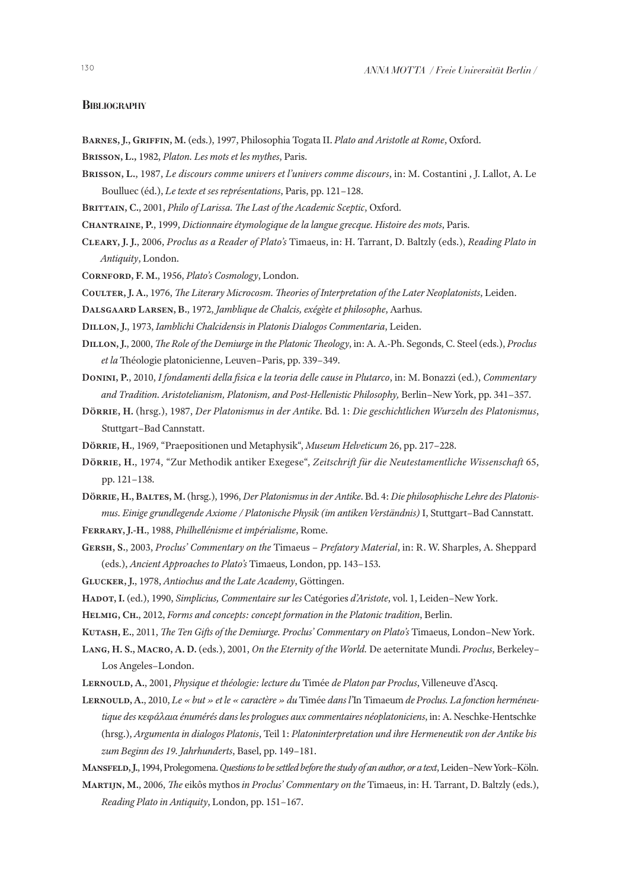#### **BIBLIOGRAPHY**

- **Barnes, J., Griffin, M.** (eds.), 1997, Philosophia Togata II. *Plato and Aristotle at Rome*, Oxford.
- **Brisson, L.,** 1982, *Platon. Les mots et les mythes*, Paris.
- **Brisson, L.**, 1987, *Le discours comme univers et l'univers comme discours*, in: M. Costantini , J. Lallot, A. Le Boulluec (éd.), *Le texte et ses représentations*, Paris, pp. 121–128.
- **Brittain, C.**, 2001, *Philo of Larissa. The Last of the Academic Sceptic*, Oxford.
- **Chantraine, P.**, 1999, *Dictionnaire étymologique de la langue grecque. Histoire des mots*, Paris.
- **Cleary, J. J.**, 2006, *Proclus as a Reader of Plato's* Timaeus, in: H. Tarrant, D. Baltzly (eds.), *Reading Plato in Antiquity*, London.
- **Cornford, F. M.**, 1956, *Plato's Cosmology*, London.
- **Coulter, J. A.**, 1976, *The Literary Microcosm. Theories of Interpretation of the Later Neoplatonists*, Leiden.
- **Dalsgaard Larsen, B.**, 1972, *Jamblique de Chalcis, exégète et philosophe*, Aarhus.
- **Dillon, J.**, 1973, *Iamblichi Chalcidensis in Platonis Dialogos Commentaria*, Leiden.
- **Dillon, J.**, 2000, *The Role of the Demiurge in the Platonic Theology*, in: A. A.-Ph. Segonds, C. Steel (eds.), *Proclus et la* Théologie platonicienne, Leuven–Paris, pp. 339–349.
- **Donini, P.**, 2010, *I fondamenti della fisica e la teoria delle cause in Plutarco*, in: M. Bonazzi (ed.), *Commentary and Tradition. Aristotelianism, Platonism, and Post-Hellenistic Philosophy,* Berlin–New York, pp. 341–357.
- **Dörrie, H.** (hrsg.), 1987, *Der Platonismus in der Antike*. Bd. 1: *Die geschichtlichen Wurzeln des Platonismus*, Stuttgart–Bad Cannstatt.
- **Dörrie, H.**, 1969, "Praepositionen und Metaphysik", *Museum Helveticum* 26, pp. 217–228.
- **Dörrie, H.**, 1974, "Zur Methodik antiker Exegese", *Zeitschrift für die Neutestamentliche Wissenschaft* 65, pp. 121–138.
- **Dörrie, H., Baltes, M.** (hrsg.), 1996, *Der Platonismus in der Antike*. Bd. 4: *Die philosophische Lehre des Platonismus. Einige grundlegende Axiome / Platonische Physik (im antiken Verständnis)* I, Stuttgart–Bad Cannstatt.
- **Ferrary, J.-H.**, 1988, *Philhellénisme et impérialisme*, Rome.
- **Gersh, S.**, 2003, *Proclus' Commentary on the* Timaeus  *Prefatory Material*, in: R. W. Sharples, A. Sheppard (eds.), *Ancient Approaches to Plato's* Timaeus, London, pp. 143–153.
- **Glucker, J.**, 1978, *Antiochus and the Late Academy*, Göttingen.
- **Hadot, I.** (ed.), 1990, *Simplicius, Commentaire sur les* Catégories *d'Aristote*, vol. 1, Leiden–New York.
- **Helmig, Ch.**, 2012, *Forms and concepts: concept formation in the Platonic tradition*, Berlin.
- **Kutash, E.**, 2011, *The Ten Gifts of the Demiurge. Proclus' Commentary on Plato's* Timaeus, London–New York.
- **Lang, H. S., Macro, A. D.** (eds.), 2001, *On the Eternity of the World.* De aeternitate Mundi. *Proclus*, Berkeley– Los Angeles–London.
- **Lernould, A.**, 2001, *Physique et théologie: lecture du* Timée *de Platon par Proclus*, Villeneuve d'Ascq.
- **Lernould, A.**, 2010, *Le « but » et le « caractère » du* Timée *dans l'*In Timaeum *de Proclus. La fonction herméneutique des κεφάλαια énumérés dans les prologues aux commentaires néoplatoniciens*, in: A. Neschke-Hentschke (hrsg.), *Argumenta in dialogos Platonis*, Teil 1: *Platoninterpretation und ihre Hermeneutik von der Antike bis zum Beginn des 19. Jahrhunderts*, Basel, pp. 149–181.
- **Mansfeld, J.**, 1994, Prolegomena. *Questions to be settled before the study of an author, or a text*, Leiden–New York–Köln.
- **Martijn, M.**, 2006, *The* eikôs mythos *in Proclus' Commentary on the* Timaeus, in: H. Tarrant, D. Baltzly (eds.), *Reading Plato in Antiquity*, London, pp. 151–167.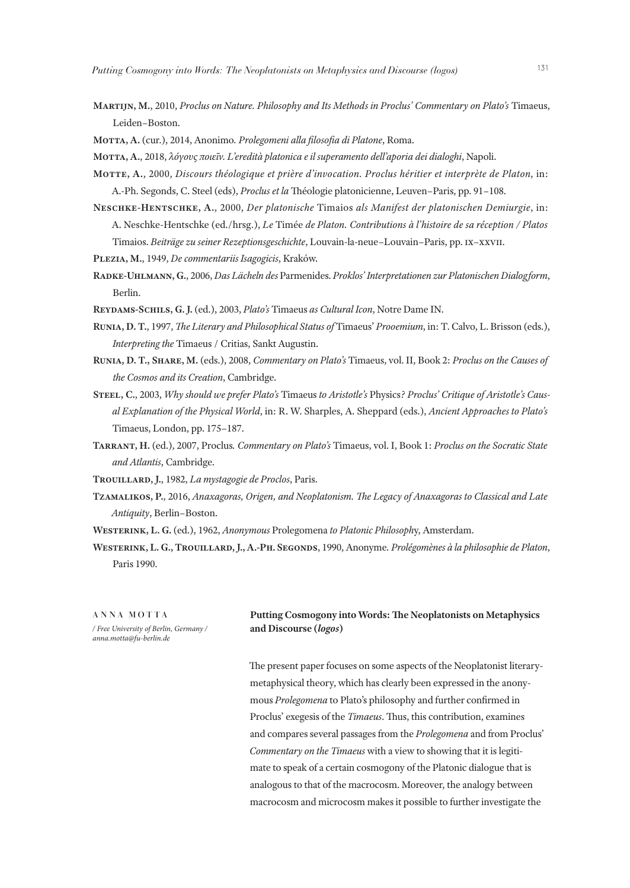- **Martijn, M.**, 2010, *Proclus on Nature. Philosophy and Its Methods in Proclus' Commentary on Plato's* Timaeus, Leiden–Boston.
- **Motta, A.** (cur.), 2014, Anonimo*. Prolegomeni alla filosofia di Platone*, Roma.
- **Motta, A.**, 2018, *λόγους ποιεῖν. L'eredità platonica e il superamento dell'aporia dei dialoghi*, Napoli.
- **Motte, A.**, 2000, *Discours théologique et prière d'invocation. Proclus héritier et interprète de Platon*, in: A.-Ph. Segonds, C. Steel (eds), *Proclus et la* Théologie platonicienne, Leuven–Paris, pp. 91–108.
- **Neschke-Hentschke, A.**, 2000, *Der platonische* Timaios *als Manifest der platonischen Demiurgie*, in: A. Neschke-Hentschke (ed./hrsg.), *Le* Timée *de Platon. Contributions à l'histoire de sa réception / Platos* Timaios. *Beiträge zu seiner Rezeptionsgeschichte*, Louvain-la-neue–Louvain–Paris, pp. ix–xxvii.
- **Plezia, M.**, 1949, *De commentariis Isagogicis*, Kraków.
- **Radke-Uhlmann, G.**, 2006, *Das Lächeln des* Parmenides. *Proklos' Interpretationen zur Platonischen Dialogform*, Berlin.
- **Reydams-Schils, G. J.** (ed.), 2003, *Plato's* Timaeus *as Cultural Icon*, Notre Dame IN.
- **Runia, D. T.**, 1997, *The Literary and Philosophical Status of* Timaeus' *Prooemium*, in: T. Calvo, L. Brisson (eds.), *Interpreting the* Timaeus / Critias, Sankt Augustin.
- **Runia, D. T., Share, M.** (eds.), 2008, *Commentary on Plato's* Timaeus, vol. II, Book 2: *Proclus on the Causes of the Cosmos and its Creation*, Cambridge.
- **Steel, C.**, 2003, *Why should we prefer Plato's* Timaeus *to Aristotle's* Physics*? Proclus' Critique of Aristotle's Causal Explanation of the Physical World*, in: R. W. Sharples, A. Sheppard (eds.), *Ancient Approaches to Plato's* Timaeus, London, pp. 175–187.
- **Tarrant, H.** (ed.), 2007, Proclus*. Commentary on Plato's* Timaeus, vol. I, Book 1: *Proclus on the Socratic State and Atlantis*, Cambridge.
- **Trouillard, J.**, 1982, *La mystagogie de Proclos*, Paris.
- **Tzamalikos, P.**, 2016, *Anaxagoras, Origen, and Neoplatonism. The Legacy of Anaxagoras to Classical and Late Antiquity*, Berlin–Boston.
- **Westerink, L. G.** (ed.), 1962, *Anonymous* Prolegomena *to Platonic Philosoph*y, Amsterdam.
- **Westerink, L. G., Trouillard, J., A.-Ph. Segonds**, 1990, Anonyme*. Prolégomènes à la philosophie de Platon*, Paris 1990.

ANNA MOTTA */ Free University of Berlin, Germany / anna.motta@fu-berlin.de*

#### **Putting Cosmogony into Words: The Neoplatonists on Metaphysics and Discourse (***logos***)**

The present paper focuses on some aspects of the Neoplatonist literarymetaphysical theory, which has clearly been expressed in the anonymous *Prolegomena* to Plato's philosophy and further confirmed in Proclus' exegesis of the *Timaeus*. Thus, this contribution, examines and compares several passages from the *Prolegomena* and from Proclus' *Commentary on the Timaeus* with a view to showing that it is legitimate to speak of a certain cosmogony of the Platonic dialogue that is analogous to that of the macrocosm. Moreover, the analogy between macrocosm and microcosm makes it possible to further investigate the